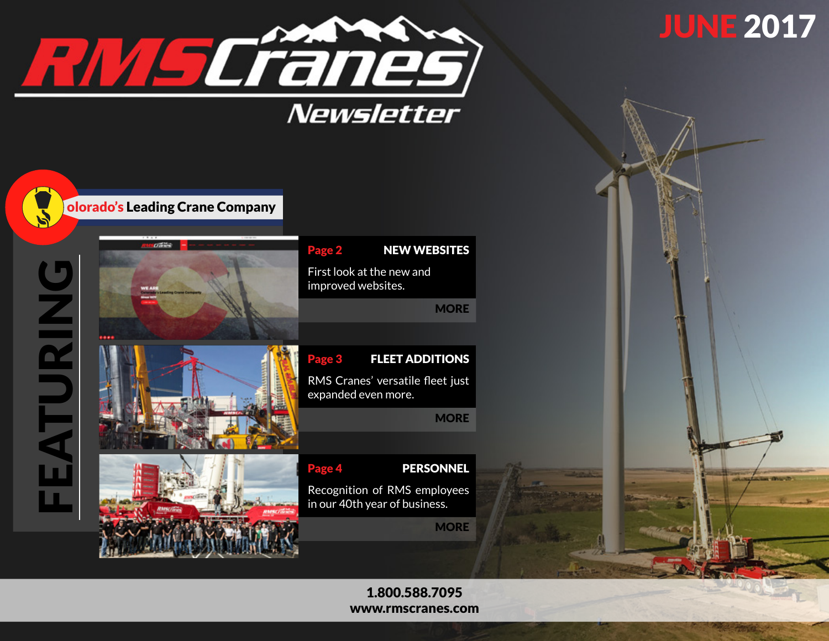

FEATURING

EATURING



[www.rmscranes.com](http://www.rmscranes.com)

# **JUNE 2017**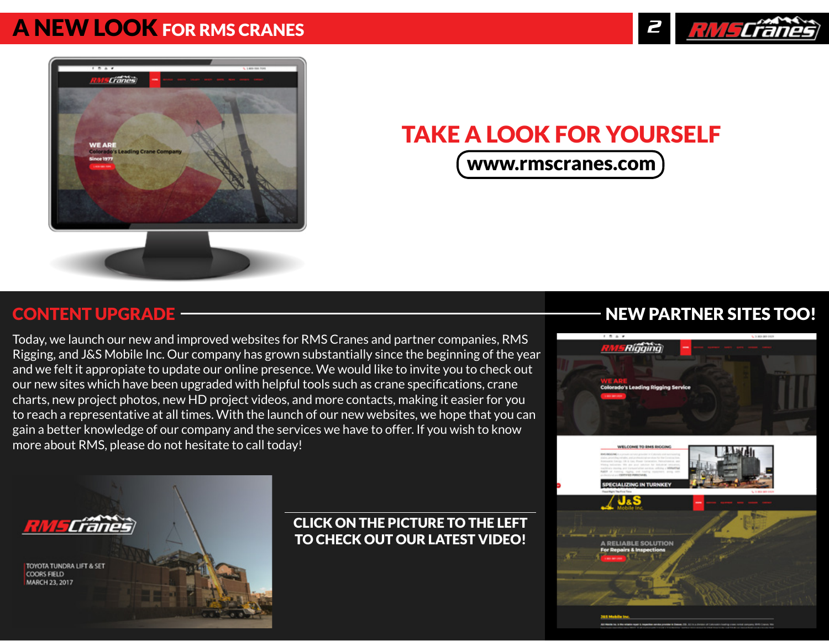## <span id="page-1-0"></span>[A NEW LOOK](http://www.rmscranes.com) FOR RMS CRANES





# TAKE A LOOK FOR YOURSELF

[www.rmscranes.com](http://www.rmscranes.com)

### CONTENT UPGRADE

Today, we launch our new and improved websites for RMS Cranes and partner companies, RMS Rigging, and J&S Mobile Inc. Our company has grown substantially since the beginning of the year and we felt it appropiate to update our online presence. We would like to invite you to check out our new sites which have been upgraded with helpful tools such as crane specifications, crane charts, new project photos, new HD project videos, and more contacts, making it easier for you to reach a representative at all times. With the launch of our new websites, we hope that you can gain a better knowledge of our company and the services we have to offer. If you wish to know more about RMS, please do not hesitate to call today!

### NEW PARTNER SITES TOO!





### CLICK ON THE PICTURE TO THE LEFT TO CHECK OUT OUR LATEST VIDEO!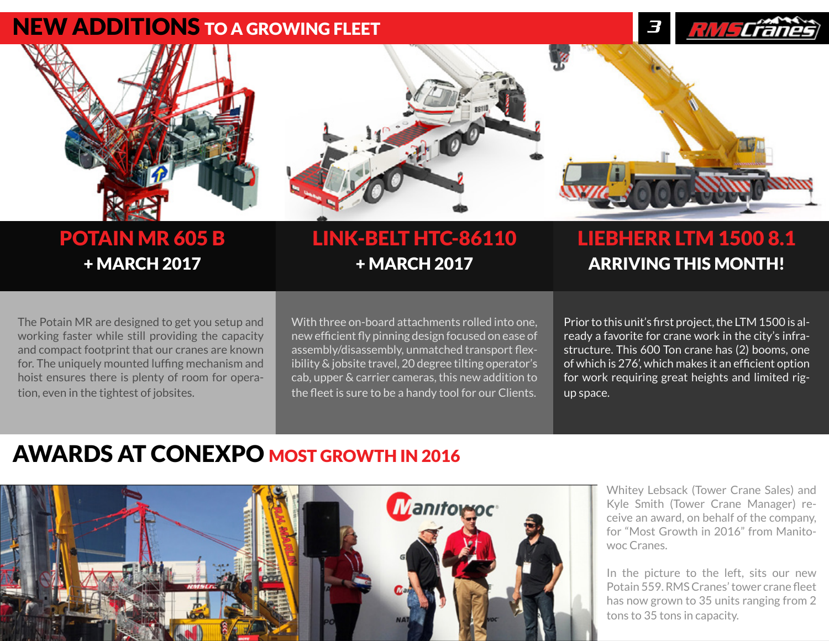### <span id="page-2-0"></span>NEW ADDITIONS TO A GROWING FLEET





# + MARCH 2017 + MARCH 2017 + MARCH 2017

# POTAIN MR 605 B LINK-BELT HTC-86110 LIEBHERR LTM 1500 8.1

The Potain MR are designed to get you setup and working faster while still providing the capacity and compact footprint that our cranes are known for. The uniquely mounted luffing mechanism and hoist ensures there is plenty of room for operation, even in the tightest of jobsites.

With three on-board attachments rolled into one, new efficient fly pinning design focused on ease of assembly/disassembly, unmatched transport flexibility & jobsite travel, 20 degree tilting operator's cab, upper & carrier cameras, this new addition to the fleet is sure to be a handy tool for our Clients.

Prior to this unit's first project, the LTM 1500 is already a favorite for crane work in the city's infrastructure. This 600 Ton crane has (2) booms, one of which is 276', which makes it an efficient option for work requiring great heights and limited rigup space.

# AWARDS AT CONEXPO MOST GROWTH IN 2016



Whitey Lebsack (Tower Crane Sales) and Kyle Smith (Tower Crane Manager) receive an award, on behalf of the company, for "Most Growth in 2016" from Manitowoc Cranes.

In the picture to the left, sits our new Potain 559. RMS Cranes' tower crane fleet has now grown to 35 units ranging from 2 tons to 35 tons in capacity.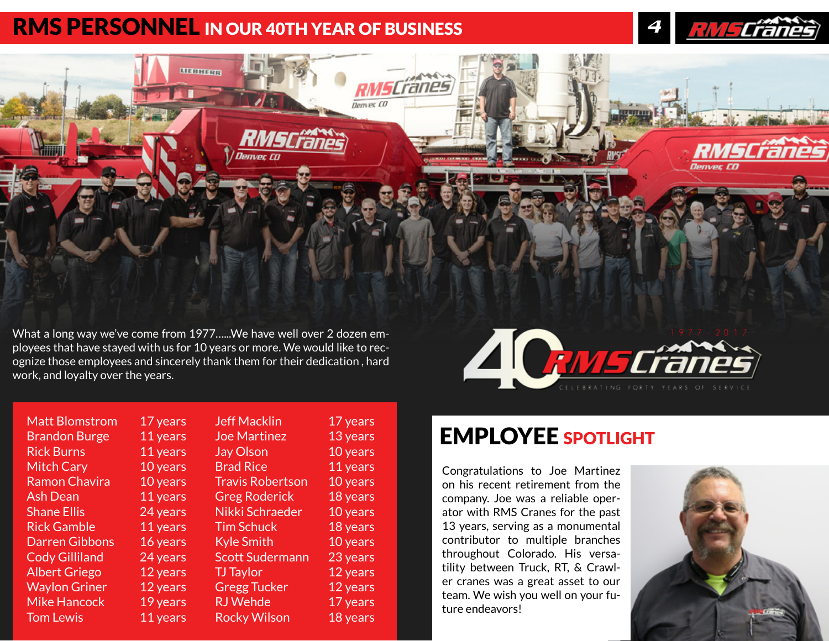## <span id="page-3-0"></span>**RMS PERSONNEL IN OUR 40TH YEAR OF BUSINESS**



vears years years years vears vears vears vears years vears vears years vears years

What a long way we've come from 1977…...We have well over 2 dozen employees that have stayed with us for 10 years or more. We would like to recognize those employees and sincerely thank them for their dedication , hard work, and loyalty over the years.

|  | 1977.2017<br>rar (1<br>$\prime\prime$<br>$\blacksquare$ |
|--|---------------------------------------------------------|
|  | ING.<br>FORTY YEARS OF SERVICE                          |

| <b>Matt Blomstrom</b> | 17 years |
|-----------------------|----------|
| <b>Brandon Burge</b>  | 11 years |
| <b>Rick Burns</b>     | 11 years |
| <b>Mitch Cary</b>     | 10 years |
| <b>Ramon Chavira</b>  | 10 years |
| <b>Ash Dean</b>       | 11 years |
| <b>Shane Ellis</b>    | 24 years |
| <b>Rick Gamble</b>    | 11 years |
| <b>Darren Gibbons</b> | 16 years |
| <b>Cody Gilliland</b> | 24 years |
| <b>Albert Griego</b>  | 12 years |
| <b>Waylon Griner</b>  | 12 years |
| <b>Mike Hancock</b>   | 19 years |
| <b>Tom Lewis</b>      | 11 years |

| ars | <b>Jeff Macklin</b>     | 17 |
|-----|-------------------------|----|
| ars | <b>Joe Martinez</b>     | 13 |
| ars | <b>Jay Olson</b>        | 10 |
| ars | <b>Brad Rice</b>        | 11 |
| ars | <b>Travis Robertson</b> | 10 |
| ars | <b>Greg Roderick</b>    | 18 |
| ars | Nikki Schraeder         | 10 |
| ars | <b>Tim Schuck</b>       | 18 |
| ars | <b>Kyle Smith</b>       | 10 |
| ars | <b>Scott Sudermann</b>  | 23 |
| ars | <b>TJ</b> Taylor        | 12 |
| ars | <b>Gregg Tucker</b>     | 12 |
| ars | <b>RJ</b> Wehde         | 17 |
| ars | <b>Rocky Wilson</b>     | 18 |
|     |                         |    |

# EMPLOYEE SPOTLIGHT

Congratulations to Joe Martinez on his recent retirement from the company. Joe was a reliable operator with RMS Cranes for the past 13 years, serving as a monumental contributor to multiple branches throughout Colorado. His versatility between Truck, RT, & Crawler cranes was a great asset to our team. We wish you well on your future endeavors!



<u>RMSCřáně</u>